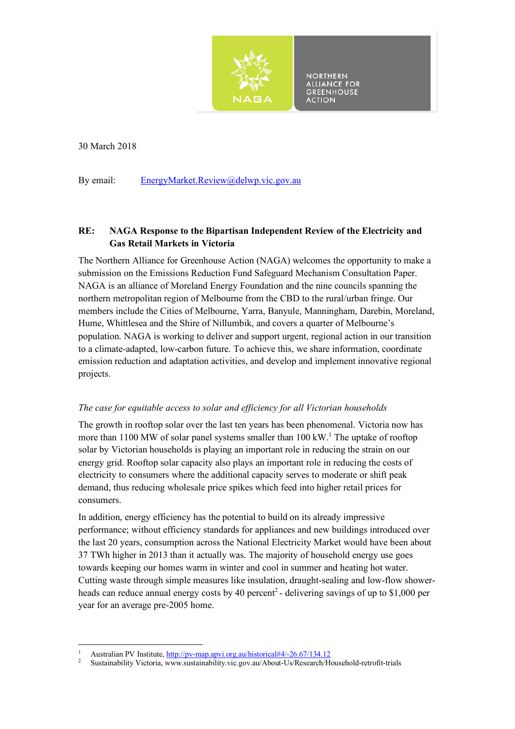

**NORTHERN ALLIANCE FOR GREENHOUSE CTION** 

30 March 2018

By email: EnergyMarket.Review@delwp.vic.gov.au

# **RE: NAGA Response to the Bipartisan Independent Review of the Electricity and Gas Retail Markets in Victoria**

The Northern Alliance for Greenhouse Action (NAGA) welcomes the opportunity to make a submission on the Emissions Reduction Fund Safeguard Mechanism Consultation Paper. NAGA is an alliance of Moreland Energy Foundation and the nine councils spanning the northern metropolitan region of Melbourne from the CBD to the rural/urban fringe. Our members include the Cities of Melbourne, Yarra, Banyule, Manningham, Darebin, Moreland, Hume, Whittlesea and the Shire of Nillumbik, and covers a quarter of Melbourne's population. NAGA is working to deliver and support urgent, regional action in our transition to a climate-adapted, low-carbon future. To achieve this, we share information, coordinate emission reduction and adaptation activities, and develop and implement innovative regional projects.

## *The case for equitable access to solar and efficiency for all Victorian households*

The growth in rooftop solar over the last ten years has been phenomenal. Victoria now has more than 1100 MW of solar panel systems smaller than  $100 \, \text{kW}$ .<sup>1</sup> The uptake of rooftop solar by Victorian households is playing an important role in reducing the strain on our energy grid. Rooftop solar capacity also plays an important role in reducing the costs of electricity to consumers where the additional capacity serves to moderate or shift peak demand, thus reducing wholesale price spikes which feed into higher retail prices for consumers.

In addition, energy efficiency has the potential to build on its already impressive performance; without efficiency standards for appliances and new buildings introduced over the last 20 years, consumption across the National Electricity Market would have been about 37 TWh higher in 2013 than it actually was. The majority of household energy use goes towards keeping our homes warm in winter and cool in summer and heating hot water. Cutting waste through simple measures like insulation, draught-sealing and low-flow showerheads can reduce annual energy costs by 40 percent<sup>2</sup> - delivering savings of up to \$1,000 per year for an average pre-2005 home.

 <sup>1</sup> Australian PV Institute,  $\frac{http://pv-mapa.pvi.org.au/historical\#4/-26.67/134.12}{\text{Sustainability: Viotorio, www. avstcinobility: via.gov. au/hkout Uc/Descorch/U}}$ 

<sup>2</sup> Sustainability Victoria, www.sustainability.vic.gov.au/About-Us/Research/Household-retrofit-trials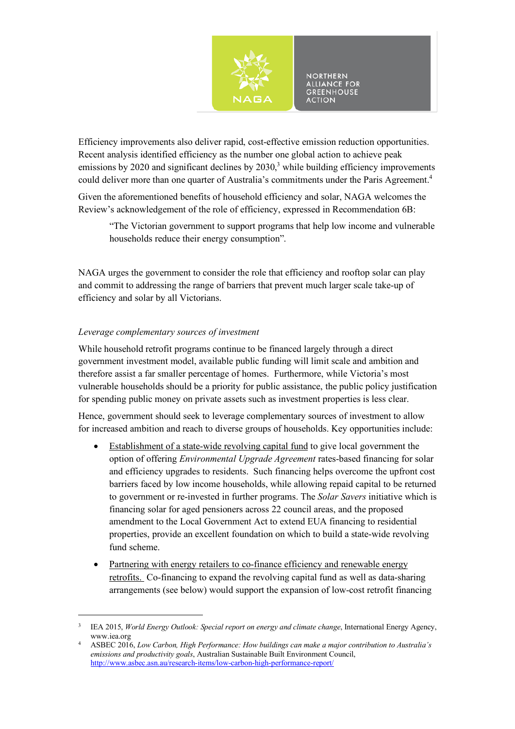

Efficiency improvements also deliver rapid, cost-effective emission reduction opportunities. Recent analysis identified efficiency as the number one global action to achieve peak emissions by 2020 and significant declines by  $2030<sup>3</sup>$  while building efficiency improvements could deliver more than one quarter of Australia's commitments under the Paris Agreement.<sup>4</sup>

Given the aforementioned benefits of household efficiency and solar, NAGA welcomes the Review's acknowledgement of the role of efficiency, expressed in Recommendation 6B:

"The Victorian government to support programs that help low income and vulnerable households reduce their energy consumption".

NAGA urges the government to consider the role that efficiency and rooftop solar can play and commit to addressing the range of barriers that prevent much larger scale take-up of efficiency and solar by all Victorians.

## *Leverage complementary sources of investment*

 

While household retrofit programs continue to be financed largely through a direct government investment model, available public funding will limit scale and ambition and therefore assist a far smaller percentage of homes. Furthermore, while Victoria's most vulnerable households should be a priority for public assistance, the public policy justification for spending public money on private assets such as investment properties is less clear.

Hence, government should seek to leverage complementary sources of investment to allow for increased ambition and reach to diverse groups of households. Key opportunities include:

- Establishment of a state-wide revolving capital fund to give local government the option of offering *Environmental Upgrade Agreement* rates-based financing for solar and efficiency upgrades to residents. Such financing helps overcome the upfront cost barriers faced by low income households, while allowing repaid capital to be returned to government or re-invested in further programs. The *Solar Savers* initiative which is financing solar for aged pensioners across 22 council areas, and the proposed amendment to the Local Government Act to extend EUA financing to residential properties, provide an excellent foundation on which to build a state-wide revolving fund scheme.
- Partnering with energy retailers to co-finance efficiency and renewable energy retrofits. Co-financing to expand the revolving capital fund as well as data-sharing arrangements (see below) would support the expansion of low-cost retrofit financing

<sup>&</sup>lt;sup>3</sup> IEA 2015, *World Energy Outlook: Special report on energy and climate change*, International Energy Agency, www.iea.org

<sup>4</sup> ASBEC 2016, *Low Carbon, High Performance: How buildings can make a major contribution to Australia's emissions and productivity goals*, Australian Sustainable Built Environment Council, http://www.asbec.asn.au/research-items/low-carbon-high-performance-report/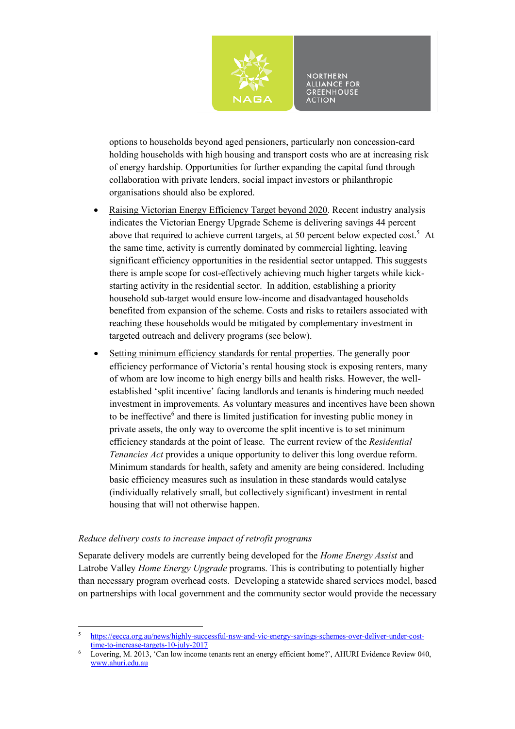

**NORTHERN ALLIANCE FOR**<br>GREENHOUSE **ACTION** 

options to households beyond aged pensioners, particularly non concession-card holding households with high housing and transport costs who are at increasing risk of energy hardship. Opportunities for further expanding the capital fund through collaboration with private lenders, social impact investors or philanthropic organisations should also be explored.

- Raising Victorian Energy Efficiency Target beyond 2020. Recent industry analysis indicates the Victorian Energy Upgrade Scheme is delivering savings 44 percent above that required to achieve current targets, at 50 percent below expected  $cost^5$ . At the same time, activity is currently dominated by commercial lighting, leaving significant efficiency opportunities in the residential sector untapped. This suggests there is ample scope for cost-effectively achieving much higher targets while kickstarting activity in the residential sector. In addition, establishing a priority household sub-target would ensure low-income and disadvantaged households benefited from expansion of the scheme. Costs and risks to retailers associated with reaching these households would be mitigated by complementary investment in targeted outreach and delivery programs (see below).
- Setting minimum efficiency standards for rental properties. The generally poor efficiency performance of Victoria's rental housing stock is exposing renters, many of whom are low income to high energy bills and health risks. However, the wellestablished 'split incentive' facing landlords and tenants is hindering much needed investment in improvements. As voluntary measures and incentives have been shown to be ineffective $<sup>6</sup>$  and there is limited justification for investing public money in</sup> private assets, the only way to overcome the split incentive is to set minimum efficiency standards at the point of lease. The current review of the *Residential Tenancies Act* provides a unique opportunity to deliver this long overdue reform. Minimum standards for health, safety and amenity are being considered. Including basic efficiency measures such as insulation in these standards would catalyse (individually relatively small, but collectively significant) investment in rental housing that will not otherwise happen.

#### *Reduce delivery costs to increase impact of retrofit programs*

 

Separate delivery models are currently being developed for the *Home Energy Assist* and Latrobe Valley *Home Energy Upgrade* programs. This is contributing to potentially higher than necessary program overhead costs. Developing a statewide shared services model, based on partnerships with local government and the community sector would provide the necessary

<sup>5</sup> https://eecca.org.au/news/highly-successful-nsw-and-vic-energy-savings-schemes-over-deliver-under-costtime-to-increase-targets-10-july-2017

 $\frac{6}{100}$  Lovering, M. 2013, 'Can low income tenants rent an energy efficient home?', AHURI Evidence Review 040, www.ahuri.edu.au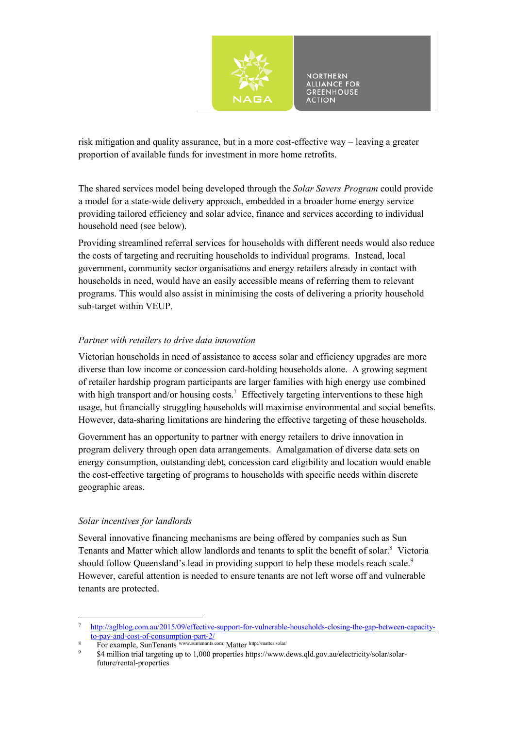

risk mitigation and quality assurance, but in a more cost-effective way – leaving a greater proportion of available funds for investment in more home retrofits.

The shared services model being developed through the *Solar Savers Program* could provide a model for a state-wide delivery approach, embedded in a broader home energy service providing tailored efficiency and solar advice, finance and services according to individual household need (see below).

Providing streamlined referral services for households with different needs would also reduce the costs of targeting and recruiting households to individual programs. Instead, local government, community sector organisations and energy retailers already in contact with households in need, would have an easily accessible means of referring them to relevant programs. This would also assist in minimising the costs of delivering a priority household sub-target within VEUP.

#### *Partner with retailers to drive data innovation*

Victorian households in need of assistance to access solar and efficiency upgrades are more diverse than low income or concession card-holding households alone. A growing segment of retailer hardship program participants are larger families with high energy use combined with high transport and/or housing costs.<sup>7</sup> Effectively targeting interventions to these high usage, but financially struggling households will maximise environmental and social benefits. However, data-sharing limitations are hindering the effective targeting of these households.

Government has an opportunity to partner with energy retailers to drive innovation in program delivery through open data arrangements. Amalgamation of diverse data sets on energy consumption, outstanding debt, concession card eligibility and location would enable the cost-effective targeting of programs to households with specific needs within discrete geographic areas.

#### *Solar incentives for landlords*

 

Several innovative financing mechanisms are being offered by companies such as Sun Tenants and Matter which allow landlords and tenants to split the benefit of solar.<sup>8</sup> Victoria should follow Queensland's lead in providing support to help these models reach scale.<sup>9</sup> However, careful attention is needed to ensure tenants are not left worse off and vulnerable tenants are protected.

<sup>7</sup> http://aglblog.com.au/2015/09/effective-support-for-vulnerable-households-closing-the-gap-between-capacityto-pay-and-cost-of-consumption-part-2/

<sup>8</sup> For example, SunTenants www.suntenants.com; Matter http://matter.solar/

<sup>9</sup> \$4 million trial targeting up to 1,000 properties https://www.dews.qld.gov.au/electricity/solar/solarfuture/rental-properties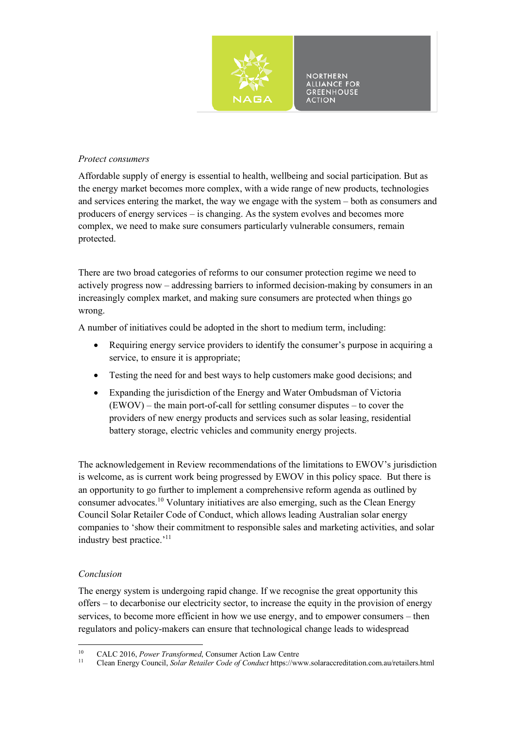

#### *Protect consumers*

Affordable supply of energy is essential to health, wellbeing and social participation. But as the energy market becomes more complex, with a wide range of new products, technologies and services entering the market, the way we engage with the system – both as consumers and producers of energy services – is changing. As the system evolves and becomes more complex, we need to make sure consumers particularly vulnerable consumers, remain protected.

There are two broad categories of reforms to our consumer protection regime we need to actively progress now – addressing barriers to informed decision-making by consumers in an increasingly complex market, and making sure consumers are protected when things go wrong.

A number of initiatives could be adopted in the short to medium term, including:

- Requiring energy service providers to identify the consumer's purpose in acquiring a service, to ensure it is appropriate;
- Testing the need for and best ways to help customers make good decisions; and
- Expanding the jurisdiction of the Energy and Water Ombudsman of Victoria (EWOV) – the main port-of-call for settling consumer disputes – to cover the providers of new energy products and services such as solar leasing, residential battery storage, electric vehicles and community energy projects.

The acknowledgement in Review recommendations of the limitations to EWOV's jurisdiction is welcome, as is current work being progressed by EWOV in this policy space. But there is an opportunity to go further to implement a comprehensive reform agenda as outlined by consumer advocates.<sup>10</sup> Voluntary initiatives are also emerging, such as the Clean Energy Council Solar Retailer Code of Conduct, which allows leading Australian solar energy companies to 'show their commitment to responsible sales and marketing activities, and solar industry best practice.'11

## *Conclusion*

The energy system is undergoing rapid change. If we recognise the great opportunity this offers – to decarbonise our electricity sector, to increase the equity in the provision of energy services, to become more efficient in how we use energy, and to empower consumers – then regulators and policy-makers can ensure that technological change leads to widespread

 <sup>10</sup> CALC 2016, *Power Transformed*, Consumer Action Law Centre

<sup>11</sup> Clean Energy Council, *Solar Retailer Code of Conduct* https://www.solaraccreditation.com.au/retailers.html